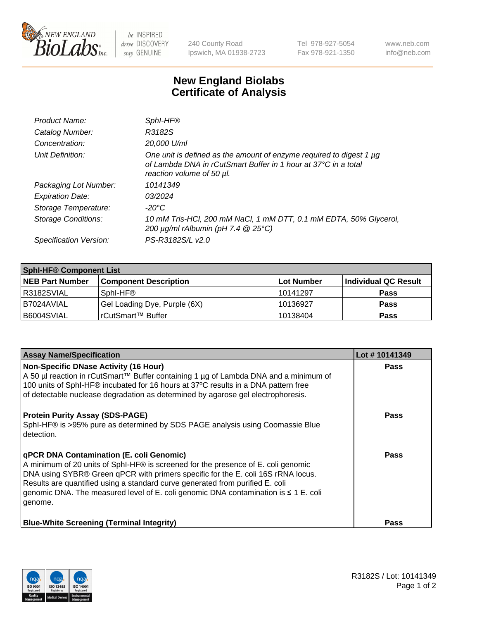

 $be$  INSPIRED drive DISCOVERY stay GENUINE

240 County Road Ipswich, MA 01938-2723 Tel 978-927-5054 Fax 978-921-1350 www.neb.com info@neb.com

## **New England Biolabs Certificate of Analysis**

| Product Name:              | SphI-HF®                                                                                                                                                           |
|----------------------------|--------------------------------------------------------------------------------------------------------------------------------------------------------------------|
| Catalog Number:            | R3182S                                                                                                                                                             |
| Concentration:             | 20,000 U/ml                                                                                                                                                        |
| Unit Definition:           | One unit is defined as the amount of enzyme required to digest 1 µg<br>of Lambda DNA in rCutSmart Buffer in 1 hour at 37°C in a total<br>reaction volume of 50 µl. |
| Packaging Lot Number:      | 10141349                                                                                                                                                           |
| <b>Expiration Date:</b>    | 03/2024                                                                                                                                                            |
| Storage Temperature:       | $-20^{\circ}$ C                                                                                                                                                    |
| <b>Storage Conditions:</b> | 10 mM Tris-HCl, 200 mM NaCl, 1 mM DTT, 0.1 mM EDTA, 50% Glycerol,<br>200 $\mu$ g/ml rAlbumin (pH 7.4 $@$ 25°C)                                                     |
| Specification Version:     | PS-R3182S/L v2.0                                                                                                                                                   |

| <b>Sphi-HF® Component List</b> |                              |                   |                      |  |  |
|--------------------------------|------------------------------|-------------------|----------------------|--|--|
| <b>NEB Part Number</b>         | <b>Component Description</b> | <b>Lot Number</b> | Individual QC Result |  |  |
| I R3182SVIAL                   | Sphl-HF <sup>®</sup>         | 10141297          | <b>Pass</b>          |  |  |
| I B7024AVIAL                   | Gel Loading Dye, Purple (6X) | 10136927          | <b>Pass</b>          |  |  |
| B6004SVIAL                     | rCutSmart™ Buffer            | 10138404          | <b>Pass</b>          |  |  |

| <b>Assay Name/Specification</b>                                                                                                                                                                                                                                                                                                                                                                             | Lot #10141349 |
|-------------------------------------------------------------------------------------------------------------------------------------------------------------------------------------------------------------------------------------------------------------------------------------------------------------------------------------------------------------------------------------------------------------|---------------|
| <b>Non-Specific DNase Activity (16 Hour)</b><br>A 50 µl reaction in rCutSmart™ Buffer containing 1 µg of Lambda DNA and a minimum of<br>100 units of SphI-HF® incubated for 16 hours at 37°C results in a DNA pattern free<br>of detectable nuclease degradation as determined by agarose gel electrophoresis.                                                                                              | <b>Pass</b>   |
| <b>Protein Purity Assay (SDS-PAGE)</b><br>SphI-HF® is >95% pure as determined by SDS PAGE analysis using Coomassie Blue<br>detection.                                                                                                                                                                                                                                                                       | <b>Pass</b>   |
| <b>qPCR DNA Contamination (E. coli Genomic)</b><br>A minimum of 20 units of SphI-HF® is screened for the presence of E. coli genomic<br>DNA using SYBR® Green qPCR with primers specific for the E. coli 16S rRNA locus.<br>Results are quantified using a standard curve generated from purified E. coli<br>genomic DNA. The measured level of E. coli genomic DNA contamination is ≤ 1 E. coli<br>genome. | <b>Pass</b>   |
| <b>Blue-White Screening (Terminal Integrity)</b>                                                                                                                                                                                                                                                                                                                                                            | <b>Pass</b>   |